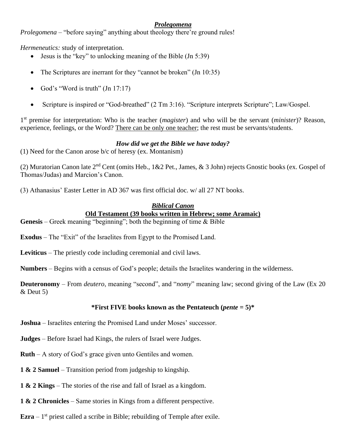# *Prolegomena*

*Prolegomena* – "before saying" anything about theology there're ground rules!

*Hermeneutics:* study of interpretation.

- Jesus is the "key" to unlocking meaning of the Bible (Jn 5:39)
- The Scriptures are inerrant for they "cannot be broken" (Jn 10:35)
- God's "Word is truth"  $(In 17:17)$
- Scripture is inspired or "God-breathed" (2 Tm 3:16). "Scripture interprets Scripture"; Law/Gospel.

1 st premise for interpretation: Who is the teacher (*magister*) and who will be the servant (*minister*)? Reason, experience, feelings, or the Word? There can be only one teacher; the rest must be servants/students.

## *How did we get the Bible we have today?*

(1) Need for the Canon arose b/c of heresy (ex. Montanism)

(2) Muratorian Canon late  $2<sup>nd</sup>$  Cent (omits Heb., 1&2 Pet., James, & 3 John) rejects Gnostic books (ex. Gospel of Thomas/Judas) and Marcion's Canon.

(3) Athanasius' Easter Letter in AD 367 was first official doc. w/ all 27 NT books.

### *Biblical Canon* **Old Testament (39 books written in Hebrew; some Aramaic)**

**Genesis** – Greek meaning "beginning"; both the beginning of time & Bible

**Exodus** – The "Exit" of the Israelites from Egypt to the Promised Land.

**Leviticus** – The priestly code including ceremonial and civil laws.

**Numbers** – Begins with a census of God's people; details the Israelites wandering in the wilderness.

**Deuteronomy** – From *deutero*, meaning "second", and "*nomy*" meaning law; second giving of the Law (Ex 20 & Deut 5)

### **\*First FIVE books known as the Pentateuch (***pente* **= 5)\***

**Joshua** – Israelites entering the Promised Land under Moses' successor.

**Judges** – Before Israel had Kings, the rulers of Israel were Judges.

**Ruth** – A story of God's grace given unto Gentiles and women.

**1 & 2 Samuel** – Transition period from judgeship to kingship.

**1 & 2 Kings** – The stories of the rise and fall of Israel as a kingdom.

**1 & 2 Chronicles** – Same stories in Kings from a different perspective.

**Ezra**  $-1$ <sup>st</sup> priest called a scribe in Bible; rebuilding of Temple after exile.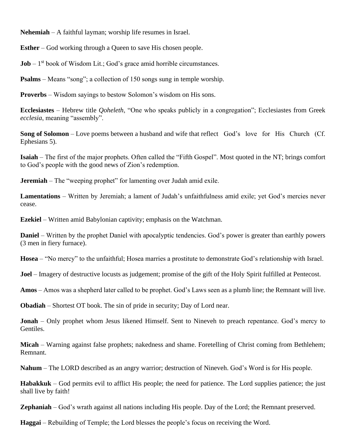**Nehemiah** – A faithful layman; worship life resumes in Israel.

**Esther** – God working through a Queen to save His chosen people.

 **book of Wisdom Lit.; God's grace amid horrible circumstances.** 

**Psalms** – Means "song"; a collection of 150 songs sung in temple worship.

**Proverbs** – Wisdom sayings to bestow Solomon's wisdom on His sons.

**Ecclesiastes** – Hebrew title *Qoheleth*, "One who speaks publicly in a congregation"; Ecclesiastes from Greek *ecclesia*, meaning "assembly".

**Song of Solomon** – Love poems between a husband and wife that reflect God's love for His Church (Cf. Ephesians 5).

**Isaiah** – The first of the major prophets. Often called the "Fifth Gospel". Most quoted in the NT; brings comfort to God's people with the good news of Zion's redemption.

**Jeremiah** – The "weeping prophet" for lamenting over Judah amid exile.

**Lamentations** – Written by Jeremiah; a lament of Judah's unfaithfulness amid exile; yet God's mercies never cease.

**Ezekiel** – Written amid Babylonian captivity; emphasis on the Watchman.

**Daniel** – Written by the prophet Daniel with apocalyptic tendencies. God's power is greater than earthly powers (3 men in fiery furnace).

**Hosea** – "No mercy" to the unfaithful; Hosea marries a prostitute to demonstrate God's relationship with Israel.

**Joel** – Imagery of destructive locusts as judgement; promise of the gift of the Holy Spirit fulfilled at Pentecost.

**Amos** – Amos was a shepherd later called to be prophet. God's Laws seen as a plumb line; the Remnant will live.

**Obadiah** – Shortest OT book. The sin of pride in security; Day of Lord near.

**Jonah** – Only prophet whom Jesus likened Himself. Sent to Nineveh to preach repentance. God's mercy to Gentiles.

**Micah** – Warning against false prophets; nakedness and shame. Foretelling of Christ coming from Bethlehem; Remnant.

**Nahum** – The LORD described as an angry warrior; destruction of Nineveh. God's Word is for His people.

**Habakkuk** – God permits evil to afflict His people; the need for patience. The Lord supplies patience; the just shall live by faith!

**Zephaniah** – God's wrath against all nations including His people. Day of the Lord; the Remnant preserved.

**Haggai** – Rebuilding of Temple; the Lord blesses the people's focus on receiving the Word.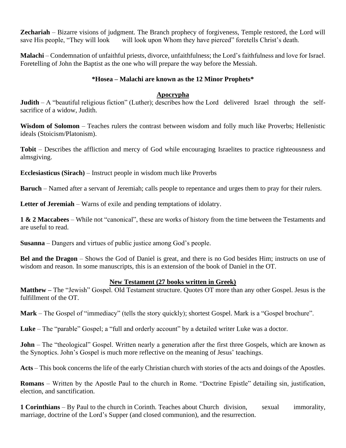**Zechariah** – Bizarre visions of judgment. The Branch prophecy of forgiveness, Temple restored, the Lord will save His people, "They will look will look upon Whom they have pierced" foretells Christ's death.

**Malachi** – Condemnation of unfaithful priests, divorce, unfaithfulness; the Lord's faithfulness and love for Israel. Foretelling of John the Baptist as the one who will prepare the way before the Messiah.

#### **\*Hosea – Malachi are known as the 12 Minor Prophets\***

#### **Apocrypha**

**Judith** – A "beautiful religious fiction" (Luther); describes how the Lord delivered Israel through the selfsacrifice of a widow, Judith.

**Wisdom of Solomon** – Teaches rulers the contrast between wisdom and folly much like Proverbs; Hellenistic ideals (Stoicism/Platonism).

**Tobit** – Describes the affliction and mercy of God while encouraging Israelites to practice righteousness and almsgiving.

**Ecclesiasticus (Sirach)** – Instruct people in wisdom much like Proverbs

**Baruch** – Named after a servant of Jeremiah; calls people to repentance and urges them to pray for their rulers.

**Letter of Jeremiah** – Warns of exile and pending temptations of idolatry.

**1 & 2 Maccabees** – While not "canonical", these are works of history from the time between the Testaments and are useful to read.

**Susanna** – Dangers and virtues of public justice among God's people.

**Bel and the Dragon** – Shows the God of Daniel is great, and there is no God besides Him; instructs on use of wisdom and reason. In some manuscripts, this is an extension of the book of Daniel in the OT.

#### **New Testament (27 books written in Greek)**

**Matthew –** The "Jewish" Gospel. Old Testament structure. Quotes OT more than any other Gospel. Jesus is the fulfillment of the OT.

**Mark** – The Gospel of "immediacy" (tells the story quickly); shortest Gospel. Mark is a "Gospel brochure".

**Luke** – The "parable" Gospel; a "full and orderly account" by a detailed writer Luke was a doctor.

**John** – The "theological" Gospel. Written nearly a generation after the first three Gospels, which are known as the Synoptics. John's Gospel is much more reflective on the meaning of Jesus' teachings.

**Acts** – This book concerns the life of the early Christian church with stories of the acts and doings of the Apostles.

**Romans** – Written by the Apostle Paul to the church in Rome. "Doctrine Epistle" detailing sin, justification, election, and sanctification.

**1 Corinthians** – By Paul to the church in Corinth. Teaches about Church division, sexual immorality, marriage, doctrine of the Lord's Supper (and closed communion), and the resurrection.